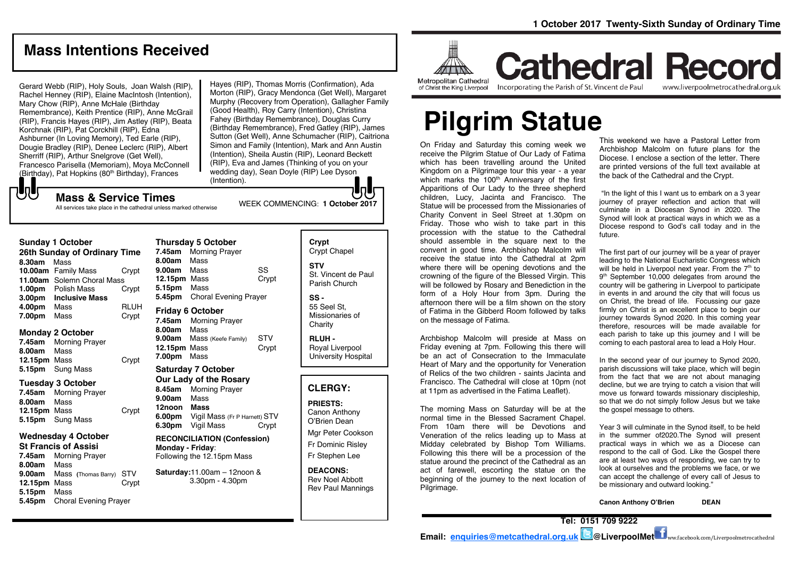# **Mass Intentions Received**

Gerard Webb (RIP), Holy Souls, Joan Walsh (RIP), Rachel Henney (RIP), Elaine MacIntosh (Intention), Mary Chow (RIP), Anne McHale (Birthday Remembrance), Keith Prentice (RIP), Anne McGrail (RIP), Francis Hayes (RIP), Jim Astley (RIP), Beata Korchnak (RIP), Pat Corckhill (RIP), Edna Ashburner (In Loving Memory), Ted Earle (RIP), Dougie Bradley (RIP), Denee Leclerc (RIP), Albert Sherriff (RIP), Arthur Snelgrove (Get Well), Francesco Parisella (Memoriam), Moya McConnell (Birthday), Pat Hopkins (80<sup>th</sup> Birthday), Frances

Hayes (RIP), Thomas Morris (Confirmation), Ada Morton (RIP), Gracy Mendonca (Get Well), Margaret Murphy (Recovery from Operation), Gallagher Family (Good Health), Roy Carry (Intention), Christina Fahey (Birthday Remembrance), Douglas Curry (Birthday Remembrance), Fred Gatley (RIP), James Sutton (Get Well), Anne Schumacher (RIP), Caitriona Simon and Family (Intention), Mark and Ann Austin (Intention), Sheila Austin (RIP), Leonard Beckett (RIP), Eva and James (Thinking of you on your wedding day), Sean Doyle (RIP) Lee Dyson (Intention).

**UU** 

WEEK COMMENCING: **1 October <sup>2017</sup> Mass & Service Times** All services take place in the cathedral unless marked otherwise

#### **Sunday 1 October**

| 26th Sunday of Ordinary Time |                            |             |
|------------------------------|----------------------------|-------------|
| 8.30am                       | Mass                       |             |
|                              | 10.00am Family Mass        | Crypt       |
|                              | 11.00am Solemn Choral Mass |             |
|                              | <b>1.00pm</b> Polish Mass  | Crypt       |
| 3.00pm                       | <b>Inclusive Mass</b>      |             |
| 4.00pm                       | Mass                       | <b>RLUH</b> |
| 7.00pm                       | Mass                       | Crypt       |

## **Monday 2 October**

**7.45am** Morning Prayer **8.00am** Mass **12.15pm** Mass Crypt **5.15pm** Sung Mass

#### **Tuesday 3 October**

**7.45am** Morning Prayer **8.00am** Mass **12.15pm** Mass Crypt **5.15pm** Sung Mass

### **Wednesday 4 October St Francis of Assisi**

**7.45am** Morning Prayer **8.00am** Mass **9.00am** Mass **(**Thomas Barry) STV **12.15pm** Mass Crypt **5.15pm** Mass **5.45pm** Choral Evening Prayer

**Thursday 5 October 7.45am** Morning Prayer **8.00am** Mass **9.00am** Mass SS **12.15pm** Mass Crypt **5.15pm** Mass **5.45pm** Choral Evening Prayer **Friday 6 October 7.45am** Morning Prayer **8.00am** Mass **9.00am** Mass (Keefe Family) STV **12.15pm** Mass Crypt **7.00pm** Mass

# **Saturday 7 October**

**Our Lady of the Rosary 8.45am** Morning Prayer **9.00am** Mass **12noon Mass 6.00pm** Vigil Mass (Fr P Harnett) STV **6.30pm** Vigil Mass Crypt

**RECONCILIATION (Confession) Monday - Friday**: Following the 12.15pm Mass

**Saturday:**11.00am – 12noon & 3.30pm - 4.30pm

**Crypt**  Crypt Chapel **STV** St. Vincent de Paul Parish Church

**SS -** 55 Seel St, Missionaries of **Charity** 

**RLUH -** Royal Liverpool University Hospital

# **CLERGY:**

**PRIESTS:** Canon Anthony O'Brien Dean

Mgr Peter Cookson Fr Dominic Risley

Fr Stephen Lee **DEACONS:**

Rev Noel Abbott Rev Paul Mannings



**Cathedral Record** Incorporating the Parish of St. Vincent de Paul www.liverpoolmetrocathedral.org.uk

# **Pilgrim Statue**

On Friday and Saturday this coming week we receive the Pilgrim Statue of Our Lady of Fatima which has been travelling around the United Kingdom on a Pilgrimage tour this year - a year which marks the 100<sup>th</sup> Anniversary of the first Apparitions of Our Lady to the three shepherd children, Lucy, Jacinta and Francisco. The Statue will be processed from the Missionaries of Charity Convent in Seel Street at 1.30pm on Friday. Those who wish to take part in this procession with the statue to the Cathedral should assemble in the square next to the convent in good time. Archbishop Malcolm will receive the statue into the Cathedral at 2pm where there will be opening devotions and the crowning of the figure of the Blessed Virgin. This will be followed by Rosary and Benediction in the form of a Holy Hour from 3pm. During the afternoon there will be a film shown on the story of Fatima in the Gibberd Room followed by talks on the message of Fatima.

Archbishop Malcolm will preside at Mass on Friday evening at 7pm. Following this there will be an act of Consecration to the Immaculate Heart of Mary and the opportunity for Veneration of Relics of the two children - saints Jacinta and Francisco. The Cathedral will close at 10pm (not at 11pm as advertised in the Fatima Leaflet).

The morning Mass on Saturday will be at the normal time in the Blessed Sacrament Chapel. From 10am there will be Devotions and Veneration of the relics leading up to Mass at Midday celebrated by Bishop Tom Williams. Following this there will be a procession of the statue around the precinct of the Cathedral as an act of farewell, escorting the statue on the beginning of the journey to the next location of Pilgrimage.

This weekend we have a Pastoral Letter from Archbishop Malcolm on future plans for the Diocese. I enclose a section of the letter. There are printed versions of the full text available at the back of the Cathedral and the Crypt.

"In the light of this I want us to embark on a 3 year journey of prayer reflection and action that will culminate in a Diocesan Synod in 2020. The Synod will look at practical ways in which we as a Diocese respond to God's call today and in the future.

The first part of our journey will be a year of prayer leading to the National Eucharistic Congress which will be held in Liverpool next year. From the  $7<sup>th</sup>$  to 9<sup>th</sup> September 10,000 delegates from around the country will be gathering in Liverpool to participate in events in and around the city that will focus us on Christ, the bread of life. Focussing our gaze firmly on Christ is an excellent place to begin our journey towards Synod 2020. In this coming year therefore, resources will be made available for each parish to take up this journey and I will be coming to each pastoral area to lead a Holy Hour.

In the second year of our journey to Synod 2020, parish discussions will take place, which will begin from the fact that we are not about managing decline, but we are trying to catch a vision that will move us forward towards missionary discipleship, so that we do not simply follow Jesus but we take the gospel message to others.

Year 3 will culminate in the Synod itself, to be held in the summer of2020.The Synod will present practical ways in which we as a Diocese can respond to the call of God. Like the Gospel there are at least two ways of responding, we can try to look at ourselves and the problems we face, or we can accept the challenge of every call of Jesus to be missionary and outward looking."

**Canon Anthony O'Brien DEAN**